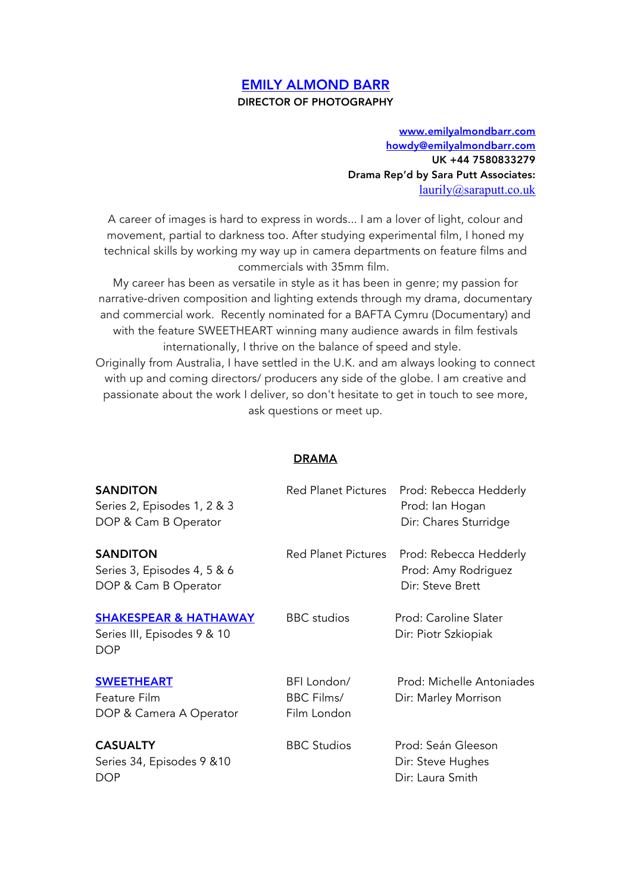## EMILY ALMOND BARR DIRECTOR OF PHOTOGRAPHY

www.emilyalmondbarr.com howdy@emilyalmondbarr.com UK +44 7580833279 Drama Rep'd by Sara Putt Associates: laurily@saraputt.co.uk

A career of images is hard to express in words... I am a lover of light, colour and movement, partial to darkness too. After studying experimental film, I honed my technical skills by working my way up in camera departments on feature films and commercials with 35mm film.

My career has been as versatile in style as it has been in genre; my passion for narrative-driven composition and lighting extends through my drama, documentary and commercial work. Recently nominated for a BAFTA Cymru (Documentary) and with the feature SWEETHEART winning many audience awards in film festivals internationally, I thrive on the balance of speed and style.

Originally from Australia, I have settled in the U.K. and am always looking to connect with up and coming directors/ producers any side of the globe. I am creative and passionate about the work I deliver, so don't hesitate to get in touch to see more, ask questions or meet up.

## DRAMA

| <b>SANDITON</b><br>Series 2, Episodes 1, 2 & 3<br>DOP & Cam B Operator        | <b>Red Planet Pictures</b>                      | Prod: Rebecca Hedderly<br>Prod: Ian Hogan<br>Dir: Chares Sturridge |
|-------------------------------------------------------------------------------|-------------------------------------------------|--------------------------------------------------------------------|
| <b>SANDITON</b><br>Series 3, Episodes 4, 5 & 6<br>DOP & Cam B Operator        | <b>Red Planet Pictures</b>                      | Prod: Rebecca Hedderly<br>Prod: Amy Rodriguez<br>Dir: Steve Brett  |
| <b>SHAKESPEAR &amp; HATHAWAY</b><br>Series III, Episodes 9 & 10<br><b>DOP</b> | <b>BBC</b> studios                              | Prod: Caroline Slater<br>Dir: Piotr Szkiopiak                      |
| <b>SWEETHEART</b><br>Feature Film<br>DOP & Camera A Operator                  | BFI London/<br><b>BBC Films/</b><br>Film London | Prod: Michelle Antoniades<br>Dir: Marley Morrison                  |
| <b>CASUALTY</b><br>Series 34, Episodes 9 & 10<br><b>DOP</b>                   | <b>BBC Studios</b>                              | Prod: Seán Gleeson<br>Dir: Steve Hughes<br>Dir: Laura Smith        |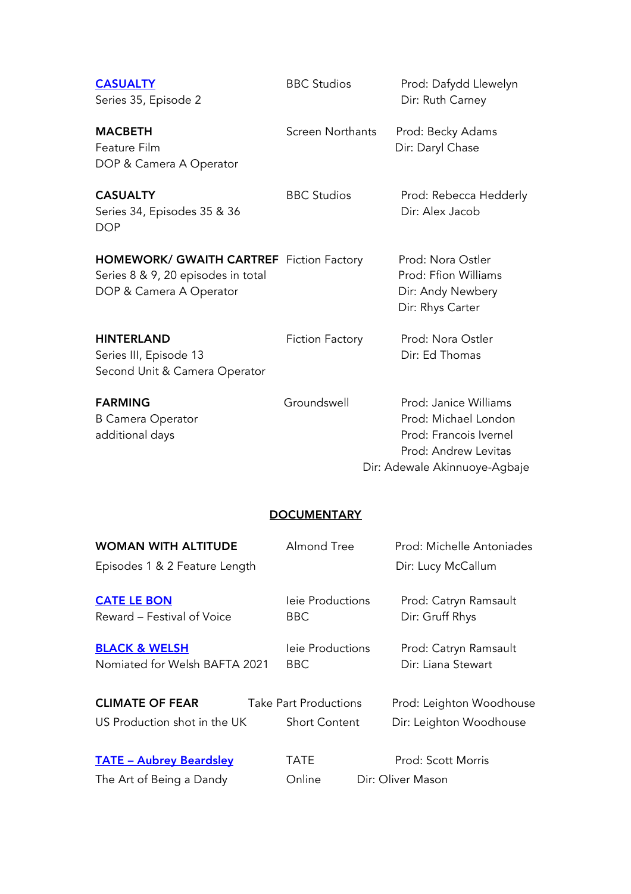| <b>CASUALTY</b><br>Series 35, Episode 2                                                                          | <b>BBC Studios</b> | Prod: Dafydd Llewelyn<br>Dir: Ruth Carney                                          |
|------------------------------------------------------------------------------------------------------------------|--------------------|------------------------------------------------------------------------------------|
| <b>MACBETH</b><br>Feature Film<br>DOP & Camera A Operator                                                        | Screen Northants   | Prod: Becky Adams<br>Dir: Daryl Chase                                              |
| <b>CASUALTY</b><br>Series 34, Episodes 35 & 36<br><b>DOP</b>                                                     | <b>BBC Studios</b> | Prod: Rebecca Hedderly<br>Dir: Alex Jacob                                          |
| <b>HOMEWORK/ GWAITH CARTREF</b> Fiction Factory<br>Series 8 & 9, 20 episodes in total<br>DOP & Camera A Operator |                    | Prod: Nora Ostler<br>Prod: Ffion Williams<br>Dir: Andy Newbery<br>Dir: Rhys Carter |
| <b>HINTERLAND</b><br>Series III, Episode 13<br>Second Unit & Camera Operator                                     | Fiction Factory    | Prod: Nora Ostler<br>Dir: Ed Thomas                                                |
| <b>FARMING</b>                                                                                                   | Groundswell        | Prod: Janice Williams                                                              |

B Camera Operator **B** Camera Operator **Prod: Michael London** additional days and the set of the control of the Prod: Francois Ivernel Prod: Andrew Levitas Dir: Adewale Akinnuoye-Agbaje

## **DOCUMENTARY**

| <b>WOMAN WITH ALTITUDE</b>                                | Almond Tree                    | Prod: Michelle Antoniades                   |
|-----------------------------------------------------------|--------------------------------|---------------------------------------------|
| Episodes 1 & 2 Feature Length                             |                                | Dir: Lucy McCallum                          |
| <b>CATE LE BON</b><br>Reward - Festival of Voice          | leie Productions<br>BBC.       | Prod: Catryn Ramsault<br>Dir: Gruff Rhys    |
| <b>BLACK &amp; WELSH</b><br>Nomiated for Welsh BAFTA 2021 | leie Productions<br><b>BBC</b> | Prod: Catryn Ramsault<br>Dir: Liana Stewart |
| <b>CLIMATE OF FEAR</b>                                    | <b>Take Part Productions</b>   | Prod: Leighton Woodhouse                    |
| US Production shot in the UK                              | <b>Short Content</b>           | Dir: Leighton Woodhouse                     |
| <b>TATE - Aubrey Beardsley</b>                            | <b>TATE</b>                    | Prod: Scott Morris                          |
| The Art of Being a Dandy                                  | Online                         | Dir: Oliver Mason                           |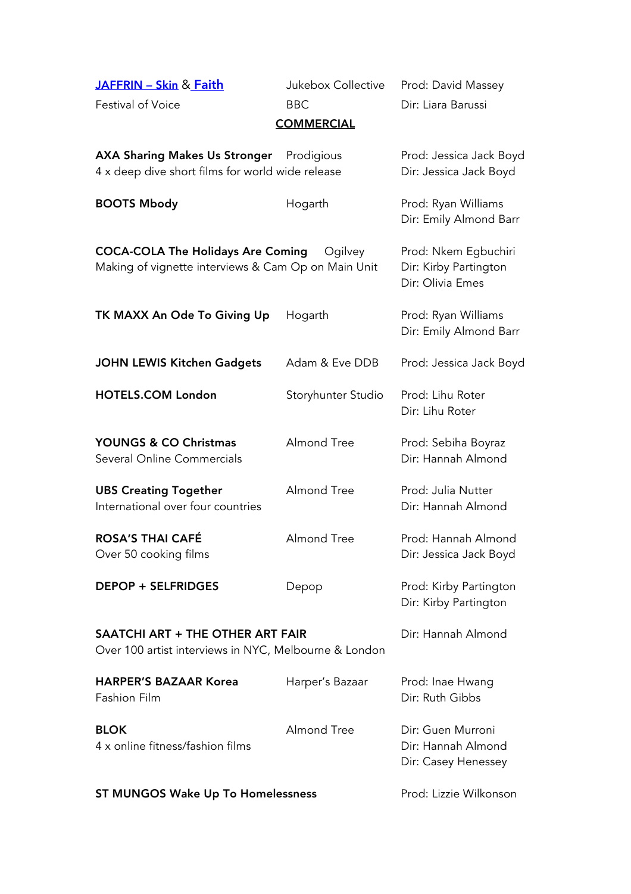JAFFRIN - Skin & Faith Jukebox Collective Prod: David Massey

Festival of Voice **BBC** BBC Dir: Liara Barussi

## **COMMERCIAL**

| <b>AXA Sharing Makes Us Stronger</b><br>4 x deep dive short films for world wide release        | Prodigious         | Prod: Jessica Jack Boyd<br>Dir: Jessica Jack Boyd                 |
|-------------------------------------------------------------------------------------------------|--------------------|-------------------------------------------------------------------|
| <b>BOOTS Mbody</b>                                                                              | Hogarth            | Prod: Ryan Williams<br>Dir: Emily Almond Barr                     |
| <b>COCA-COLA The Holidays Are Coming</b><br>Making of vignette interviews & Cam Op on Main Unit | Ogilvey            | Prod: Nkem Egbuchiri<br>Dir: Kirby Partington<br>Dir: Olivia Emes |
| TK MAXX An Ode To Giving Up                                                                     | Hogarth            | Prod: Ryan Williams<br>Dir: Emily Almond Barr                     |
| <b>JOHN LEWIS Kitchen Gadgets</b>                                                               | Adam & Eve DDB     | Prod: Jessica Jack Boyd                                           |
| <b>HOTELS.COM London</b>                                                                        | Storyhunter Studio | Prod: Lihu Roter<br>Dir: Lihu Roter                               |
| <b>YOUNGS &amp; CO Christmas</b><br>Several Online Commercials                                  | Almond Tree        | Prod: Sebiha Boyraz<br>Dir: Hannah Almond                         |
| <b>UBS Creating Together</b><br>International over four countries                               | Almond Tree        | Prod: Julia Nutter<br>Dir: Hannah Almond                          |
| <b>ROSA'S THAI CAFÉ</b><br>Over 50 cooking films                                                | Almond Tree        | Prod: Hannah Almond<br>Dir: Jessica Jack Boyd                     |
| <b>DEPOP + SELFRIDGES</b>                                                                       | Depop              | Prod: Kirby Partington<br>Dir: Kirby Partington                   |
| SAATCHI ART + THE OTHER ART FAIR<br>Over 100 artist interviews in NYC, Melbourne & London       |                    | Dir: Hannah Almond                                                |
| <b>HARPER'S BAZAAR Korea</b><br><b>Fashion Film</b>                                             | Harper's Bazaar    | Prod: Inae Hwang<br>Dir: Ruth Gibbs                               |
| <b>BLOK</b><br>4 x online fitness/fashion films                                                 | Almond Tree        | Dir: Guen Murroni<br>Dir: Hannah Almond<br>Dir: Casey Henessey    |
| <b>ST MUNGOS Wake Up To Homelessness</b>                                                        |                    | Prod: Lizzie Wilkonson                                            |